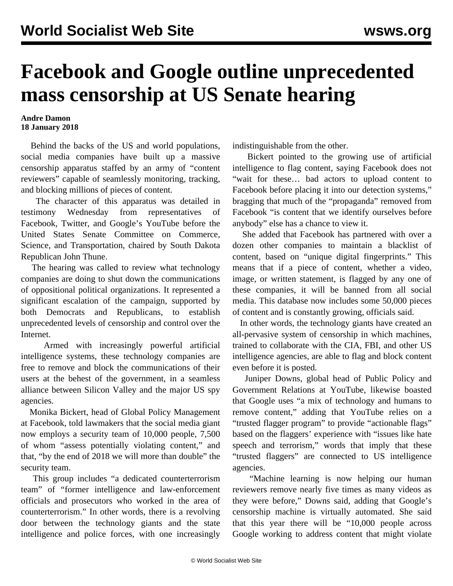## **Facebook and Google outline unprecedented mass censorship at US Senate hearing**

## **Andre Damon 18 January 2018**

 Behind the backs of the US and world populations, social media companies have built up a massive censorship apparatus staffed by an army of "content reviewers" capable of seamlessly monitoring, tracking, and blocking millions of pieces of content.

 The character of this apparatus was detailed in testimony Wednesday from representatives of Facebook, Twitter, and Google's YouTube before the United States Senate Committee on Commerce, Science, and Transportation, chaired by South Dakota Republican John Thune.

 The hearing was called to review what technology companies are doing to shut down the communications of oppositional political organizations. It represented a significant escalation of the campaign, supported by both Democrats and Republicans, to establish unprecedented levels of censorship and control over the Internet.

 Armed with increasingly powerful artificial intelligence systems, these technology companies are free to remove and block the communications of their users at the behest of the government, in a seamless alliance between Silicon Valley and the major US spy agencies.

 Monika Bickert, head of Global Policy Management at Facebook, told lawmakers that the social media giant now employs a security team of 10,000 people, 7,500 of whom "assess potentially violating content," and that, "by the end of 2018 we will more than double" the security team.

 This group includes "a dedicated counterterrorism team" of "former intelligence and law-enforcement officials and prosecutors who worked in the area of counterterrorism." In other words, there is a revolving door between the technology giants and the state intelligence and police forces, with one increasingly

indistinguishable from the other.

 Bickert pointed to the growing use of artificial intelligence to flag content, saying Facebook does not "wait for these… bad actors to upload content to Facebook before placing it into our detection systems," bragging that much of the "propaganda" removed from Facebook "is content that we identify ourselves before anybody" else has a chance to view it.

 She added that Facebook has partnered with over a dozen other companies to maintain a blacklist of content, based on "unique digital fingerprints." This means that if a piece of content, whether a video, image, or written statement, is flagged by any one of these companies, it will be banned from all social media. This database now includes some 50,000 pieces of content and is constantly growing, officials said.

 In other words, the technology giants have created an all-pervasive system of censorship in which machines, trained to collaborate with the CIA, FBI, and other US intelligence agencies, are able to flag and block content even before it is posted.

 Juniper Downs, global head of Public Policy and Government Relations at YouTube, likewise boasted that Google uses "a mix of technology and humans to remove content," adding that YouTube relies on a "trusted flagger program" to provide "actionable flags" based on the flaggers' experience with "issues like hate speech and terrorism," words that imply that these "trusted flaggers" are connected to US intelligence agencies.

 "Machine learning is now helping our human reviewers remove nearly five times as many videos as they were before," Downs said, adding that Google's censorship machine is virtually automated. She said that this year there will be "10,000 people across Google working to address content that might violate